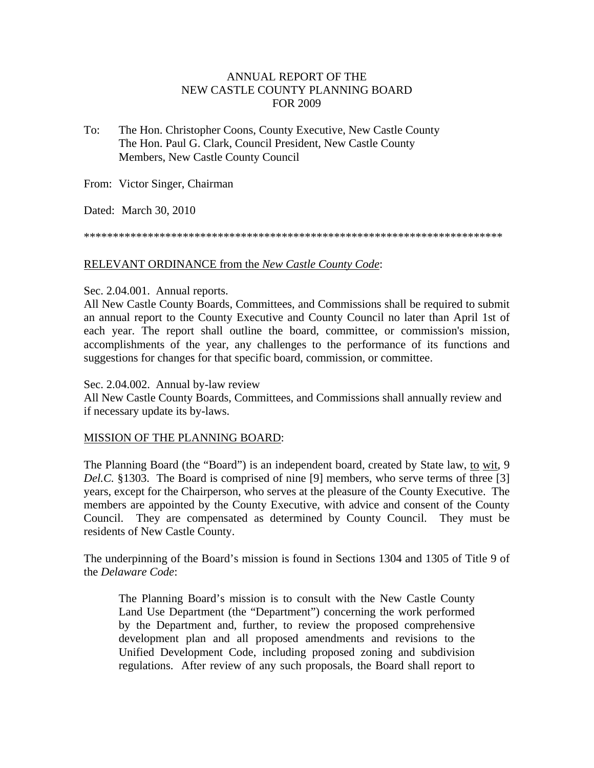# ANNUAL REPORT OF THE NEW CASTLE COUNTY PLANNING BOARD FOR 2009

To: The Hon. Christopher Coons, County Executive, New Castle County The Hon. Paul G. Clark, Council President, New Castle County Members, New Castle County Council

From: Victor Singer, Chairman

Dated: March 30, 2010

\*\*\*\*\*\*\*\*\*\*\*\*\*\*\*\*\*\*\*\*\*\*\*\*\*\*\*\*\*\*\*\*\*\*\*\*\*\*\*\*\*\*\*\*\*\*\*\*\*\*\*\*\*\*\*\*\*\*\*\*\*\*\*\*\*\*\*\*\*\*\*\*

## RELEVANT ORDINANCE from the *New Castle County Code*:

## Sec. 2.04.001. Annual reports.

All New Castle County Boards, Committees, and Commissions shall be required to submit an annual report to the County Executive and County Council no later than April 1st of each year. The report shall outline the board, committee, or commission's mission, accomplishments of the year, any challenges to the performance of its functions and suggestions for changes for that specific board, commission, or committee.

#### Sec. 2.04.002. Annual by-law review

All New Castle County Boards, Committees, and Commissions shall annually review and if necessary update its by-laws.

# MISSION OF THE PLANNING BOARD:

The Planning Board (the "Board") is an independent board, created by State law, to wit, 9 *Del.C.* §1303. The Board is comprised of nine [9] members, who serve terms of three [3] years, except for the Chairperson, who serves at the pleasure of the County Executive. The members are appointed by the County Executive, with advice and consent of the County Council. They are compensated as determined by County Council. They must be residents of New Castle County.

The underpinning of the Board's mission is found in Sections 1304 and 1305 of Title 9 of the *Delaware Code*:

The Planning Board's mission is to consult with the New Castle County Land Use Department (the "Department") concerning the work performed by the Department and, further, to review the proposed comprehensive development plan and all proposed amendments and revisions to the Unified Development Code, including proposed zoning and subdivision regulations. After review of any such proposals, the Board shall report to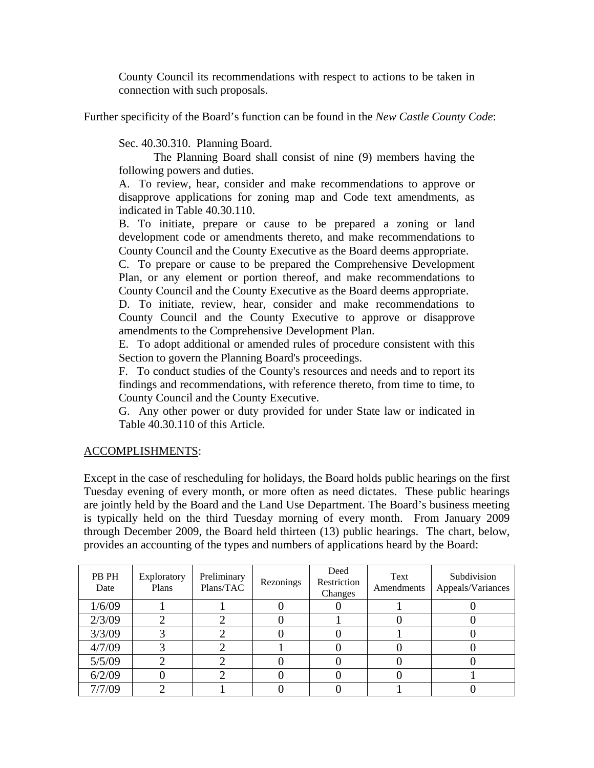County Council its recommendations with respect to actions to be taken in connection with such proposals.

Further specificity of the Board's function can be found in the *New Castle County Code*:

Sec. 40.30.310. Planning Board.

The Planning Board shall consist of nine (9) members having the following powers and duties.

A. To review, hear, consider and make recommendations to approve or disapprove applications for zoning map and Code text amendments, as indicated in Table 40.30.110.

B. To initiate, prepare or cause to be prepared a zoning or land development code or amendments thereto, and make recommendations to County Council and the County Executive as the Board deems appropriate.

C. To prepare or cause to be prepared the Comprehensive Development Plan, or any element or portion thereof, and make recommendations to County Council and the County Executive as the Board deems appropriate.

D. To initiate, review, hear, consider and make recommendations to County Council and the County Executive to approve or disapprove amendments to the Comprehensive Development Plan.

E. To adopt additional or amended rules of procedure consistent with this Section to govern the Planning Board's proceedings.

F. To conduct studies of the County's resources and needs and to report its findings and recommendations, with reference thereto, from time to time, to County Council and the County Executive.

G. Any other power or duty provided for under State law or indicated in Table 40.30.110 of this Article.

# ACCOMPLISHMENTS:

Except in the case of rescheduling for holidays, the Board holds public hearings on the first Tuesday evening of every month, or more often as need dictates. These public hearings are jointly held by the Board and the Land Use Department. The Board's business meeting is typically held on the third Tuesday morning of every month. From January 2009 through December 2009, the Board held thirteen (13) public hearings. The chart, below, provides an accounting of the types and numbers of applications heard by the Board:

| PB PH<br>Date | Exploratory<br>Plans | Preliminary<br>Plans/TAC | Rezonings | Deed<br>Restriction<br>Changes | Text<br>Amendments | Subdivision<br>Appeals/Variances |
|---------------|----------------------|--------------------------|-----------|--------------------------------|--------------------|----------------------------------|
| 1/6/09        |                      |                          |           |                                |                    |                                  |
| 2/3/09        |                      |                          |           |                                |                    |                                  |
| 3/3/09        |                      |                          |           |                                |                    |                                  |
| 4/7/09        |                      |                          |           |                                |                    |                                  |
| 5/5/09        |                      |                          |           |                                |                    |                                  |
| 6/2/09        |                      |                          |           |                                |                    |                                  |
| 7/7/09        |                      |                          |           |                                |                    |                                  |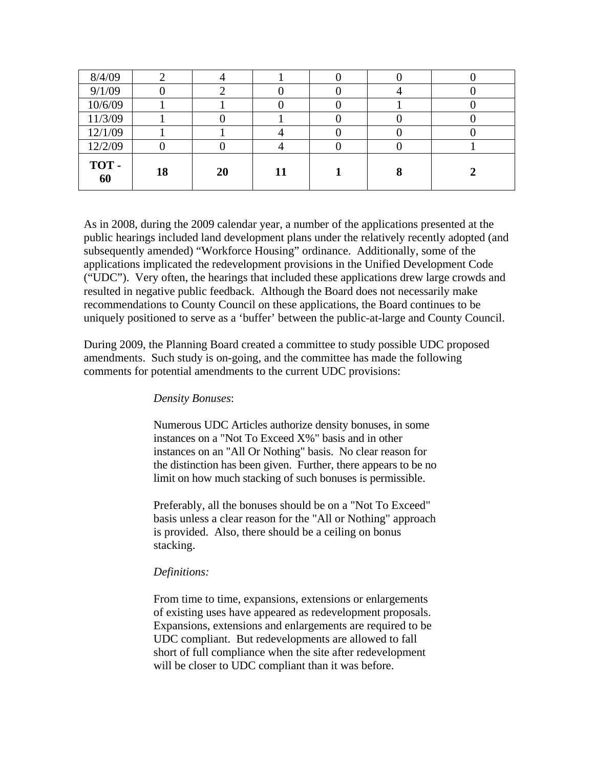| 8/4/09     |    |    |    |  |  |
|------------|----|----|----|--|--|
| 9/1/09     |    |    |    |  |  |
| 10/6/09    |    |    |    |  |  |
| 11/3/09    |    |    |    |  |  |
| 12/1/09    |    |    |    |  |  |
| 12/2/09    |    |    |    |  |  |
| TOT-<br>60 | 18 | 20 | 11 |  |  |

As in 2008, during the 2009 calendar year, a number of the applications presented at the public hearings included land development plans under the relatively recently adopted (and subsequently amended) "Workforce Housing" ordinance. Additionally, some of the applications implicated the redevelopment provisions in the Unified Development Code ("UDC"). Very often, the hearings that included these applications drew large crowds and resulted in negative public feedback. Although the Board does not necessarily make recommendations to County Council on these applications, the Board continues to be uniquely positioned to serve as a 'buffer' between the public-at-large and County Council.

During 2009, the Planning Board created a committee to study possible UDC proposed amendments. Such study is on-going, and the committee has made the following comments for potential amendments to the current UDC provisions:

#### *Density Bonuses*:

Numerous UDC Articles authorize density bonuses, in some instances on a "Not To Exceed X%" basis and in other instances on an "All Or Nothing" basis. No clear reason for the distinction has been given. Further, there appears to be no limit on how much stacking of such bonuses is permissible.

Preferably, all the bonuses should be on a "Not To Exceed" basis unless a clear reason for the "All or Nothing" approach is provided. Also, there should be a ceiling on bonus stacking.

#### *Definitions:*

From time to time, expansions, extensions or enlargements of existing uses have appeared as redevelopment proposals. Expansions, extensions and enlargements are required to be UDC compliant. But redevelopments are allowed to fall short of full compliance when the site after redevelopment will be closer to UDC compliant than it was before.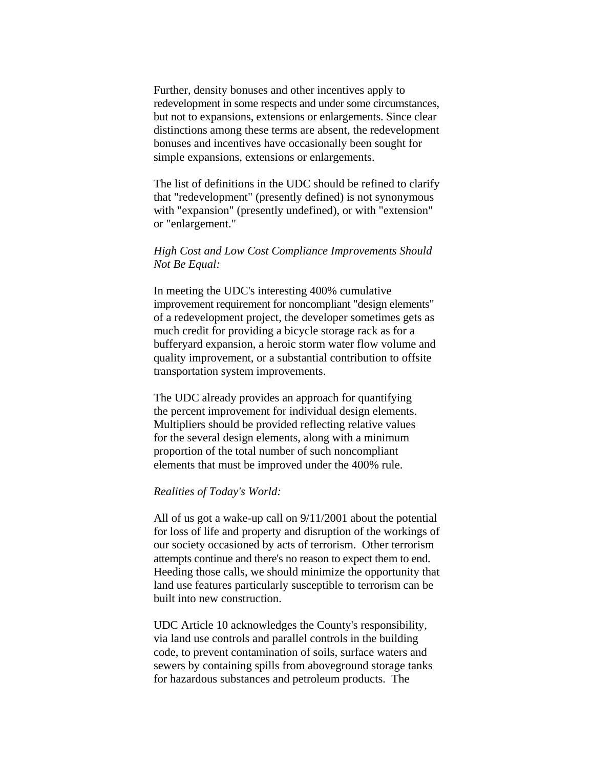Further, density bonuses and other incentives apply to redevelopment in some respects and under some circumstances, but not to expansions, extensions or enlargements. Since clear distinctions among these terms are absent, the redevelopment bonuses and incentives have occasionally been sought for simple expansions, extensions or enlargements.

The list of definitions in the UDC should be refined to clarify that "redevelopment" (presently defined) is not synonymous with "expansion" (presently undefined), or with "extension" or "enlargement."

# *High Cost and Low Cost Compliance Improvements Should Not Be Equal:*

In meeting the UDC's interesting 400% cumulative improvement requirement for noncompliant "design elements" of a redevelopment project, the developer sometimes gets as much credit for providing a bicycle storage rack as for a bufferyard expansion, a heroic storm water flow volume and quality improvement, or a substantial contribution to offsite transportation system improvements.

The UDC already provides an approach for quantifying the percent improvement for individual design elements. Multipliers should be provided reflecting relative values for the several design elements, along with a minimum proportion of the total number of such noncompliant elements that must be improved under the 400% rule.

#### *Realities of Today's World:*

All of us got a wake-up call on 9/11/2001 about the potential for loss of life and property and disruption of the workings of our society occasioned by acts of terrorism. Other terrorism attempts continue and there's no reason to expect them to end. Heeding those calls, we should minimize the opportunity that land use features particularly susceptible to terrorism can be built into new construction.

UDC Article 10 acknowledges the County's responsibility, via land use controls and parallel controls in the building code, to prevent contamination of soils, surface waters and sewers by containing spills from aboveground storage tanks for hazardous substances and petroleum products. The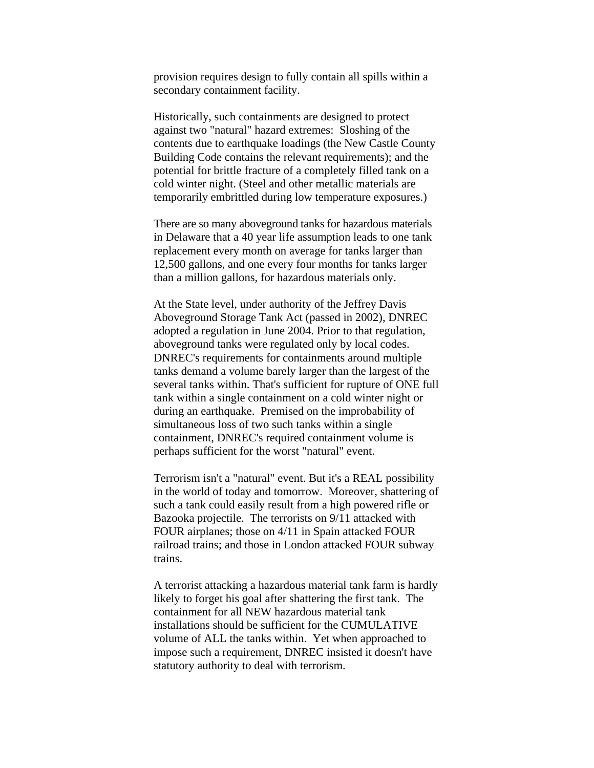provision requires design to fully contain all spills within a secondary containment facility.

Historically, such containments are designed to protect against two "natural" hazard extremes: Sloshing of the contents due to earthquake loadings (the New Castle County Building Code contains the relevant requirements); and the potential for brittle fracture of a completely filled tank on a cold winter night. (Steel and other metallic materials are temporarily embrittled during low temperature exposures.)

There are so many aboveground tanks for hazardous materials in Delaware that a 40 year life assumption leads to one tank replacement every month on average for tanks larger than 12,500 gallons, and one every four months for tanks larger than a million gallons, for hazardous materials only.

At the State level, under authority of the Jeffrey Davis Aboveground Storage Tank Act (passed in 2002), DNREC adopted a regulation in June 2004. Prior to that regulation, aboveground tanks were regulated only by local codes. DNREC's requirements for containments around multiple tanks demand a volume barely larger than the largest of the several tanks within. That's sufficient for rupture of ONE full tank within a single containment on a cold winter night or during an earthquake. Premised on the improbability of simultaneous loss of two such tanks within a single containment, DNREC's required containment volume is perhaps sufficient for the worst "natural" event.

Terrorism isn't a "natural" event. But it's a REAL possibility in the world of today and tomorrow. Moreover, shattering of such a tank could easily result from a high powered rifle or Bazooka projectile. The terrorists on 9/11 attacked with FOUR airplanes; those on 4/11 in Spain attacked FOUR railroad trains; and those in London attacked FOUR subway trains.

A terrorist attacking a hazardous material tank farm is hardly likely to forget his goal after shattering the first tank. The containment for all NEW hazardous material tank installations should be sufficient for the CUMULATIVE volume of ALL the tanks within. Yet when approached to impose such a requirement, DNREC insisted it doesn't have statutory authority to deal with terrorism.